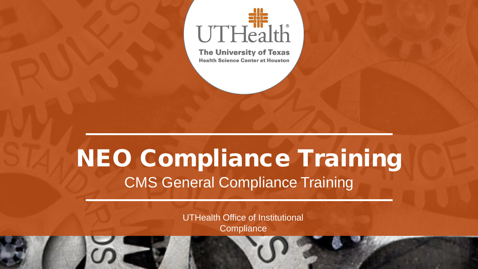

**The University of Texas Health Science Center at Houston** 

## NEO Compliance Training CMS General Compliance Training

UTHealth Office of Institutional **Compliance**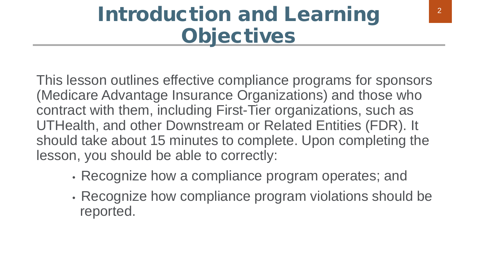## Introduction and Learning **Objectives**

This lesson outlines effective compliance programs for sponsors (Medicare Advantage Insurance Organizations) and those who contract with them, including First-Tier organizations, such as UTHealth, and other Downstream or Related Entities (FDR). It should take about 15 minutes to complete. Upon completing the lesson, you should be able to correctly:

- Recognize how a compliance program operates; and
- Recognize how compliance program violations should be reported.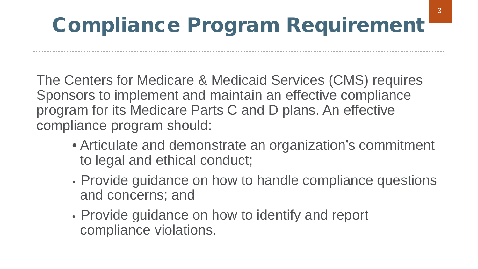## Compliance Program Requirement

The Centers for Medicare & Medicaid Services (CMS) requires Sponsors to implement and maintain an effective compliance program for its Medicare Parts C and D plans. An effective compliance program should:

- Articulate and demonstrate an organization's commitment to legal and ethical conduct;
- Provide guidance on how to handle compliance questions and concerns; and
- Provide guidance on how to identify and report compliance violations.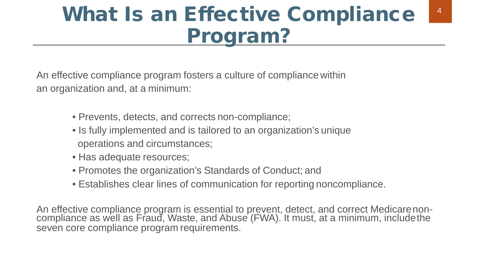## What Is an Effective Compliance Program?

An effective compliance program fosters a culture of compliance within an organization and, at a minimum:

- Prevents, detects, and corrects non-compliance;
- Is fully implemented and is tailored to an organization's unique operations and circumstances;
- Has adequate resources;
- Promotes the organization's Standards of Conduct; and
- Establishes clear lines of communication for reporting noncompliance.

An effective compliance program is essential to prevent, detect, and correct Medicarenon- compliance as well as Fraud, Waste, and Abuse (FWA). It must, at a minimum, includethe seven core compliance program requirements.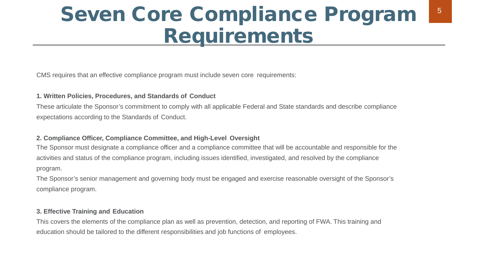### Seven Core Compliance Program Requirements

CMS requires that an effective compliance program must include seven core requirements:

#### **1. Written Policies, Procedures, and Standards of Conduct**

These articulate the Sponsor's commitment to comply with all applicable Federal and State standards and describe compliance expectations according to the Standards of Conduct.

### **2. Compliance Officer, Compliance Committee, and High-Level Oversight**

The Sponsor must designate a compliance officer and a compliance committee that will be accountable and responsible for the activities and status of the compliance program, including issues identified, investigated, and resolved by the compliance program.

The Sponsor's senior management and governing body must be engaged and exercise reasonable oversight of the Sponsor's compliance program.

#### **3. Effective Training and Education**

This covers the elements of the compliance plan as well as prevention, detection, and reporting of FWA. This training and education should be tailored to the different responsibilities and job functions of employees.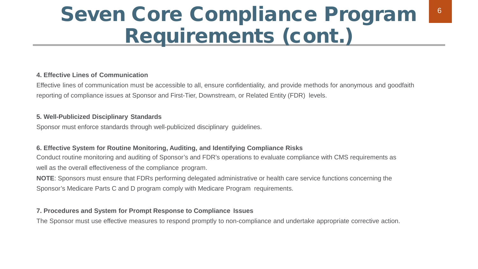### Seven Core Compliance Program Requirements (cont.)

#### **4. Effective Lines of Communication**

Effective lines of communication must be accessible to all, ensure confidentiality, and provide methods for anonymous and goodfaith reporting of compliance issues at Sponsor and First-Tier, Downstream, or Related Entity (FDR) levels.

#### **5. Well-Publicized Disciplinary Standards**

Sponsor must enforce standards through well-publicized disciplinary guidelines.

### **6. Effective System for Routine Monitoring, Auditing, and Identifying Compliance Risks**

Conduct routine monitoring and auditing of Sponsor's and FDR's operations to evaluate compliance with CMS requirements as well as the overall effectiveness of the compliance program.

**NOTE**: Sponsors must ensure that FDRs performing delegated administrative or health care service functions concerning the Sponsor's Medicare Parts C and D program comply with Medicare Program requirements.

### **7. Procedures and System for Prompt Response to Compliance Issues**

The Sponsor must use effective measures to respond promptly to non-compliance and undertake appropriate corrective action.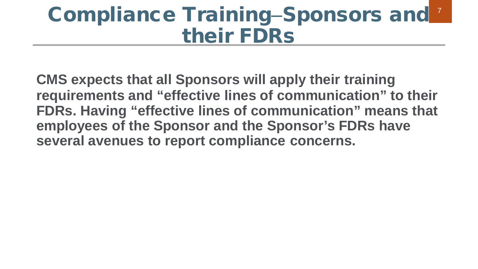## Compliance Training-Sponsors and their FDRs

**CMS expects that all Sponsors will apply their training requirements and "effective lines of communication" to their FDRs. Having "effective lines of communication" means that employees of the Sponsor and the Sponsor's FDRs have several avenues to report compliance concerns.**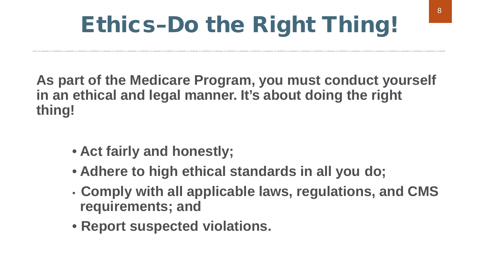# Ethics–Do the Right Thing!

**As part of the Medicare Program, you must conduct yourself in an ethical and legal manner. It's about doing the right thing!**

- **Act fairly and honestly;**
- **Adhere to high ethical standards in all you do;**
- **Comply with all applicable laws, regulations, and CMS requirements; and**
- **Report suspected violations.**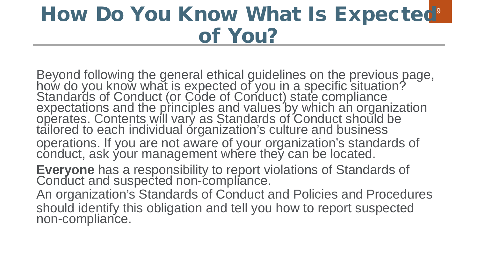## of You? How Do You Know What Is Expected<sup>9</sup>

Beyond following the general ethical guidelines on the previous page, how do you know what is expected of you in a specific situation? Standards of Conduct (or Code of Conduct) state compliance<br>expectations and the principles and values by which an organization<br>operates. Contents will vary as Standards of Conduct should be tailored to each individual organization's culture and business operations. If you are not aware of your organization's standards of conduct, ask your management where they can be located. **Everyone** has a responsibility to report violations of Standards of Conduct and suspected non-compliance. An organization's Standards of Conduct and Policies and Procedures should identify this obligation and tell you how to report suspected non-compliance.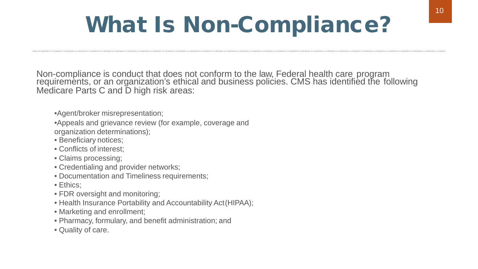## What Is Non-Compliance?

Non-compliance is conduct that does not conform to the law, Federal health care program<br>requirements, or an organization's ethical and business policies. CMS has identified the following Medicare Parts C and D high risk areas:

•Agent/broker misrepresentation;

•Appeals and grievance review (for example, coverage and organization determinations);

- Beneficiary notices;
- Conflicts of interest;
- Claims processing;
- Credentialing and provider networks;
- Documentation and Timeliness requirements;
- Ethics;
- FDR oversight and monitoring;
- Health Insurance Portability and Accountability Act(HIPAA);
- Marketing and enrollment;
- Pharmacy, formulary, and benefit administration; and
- Quality of care.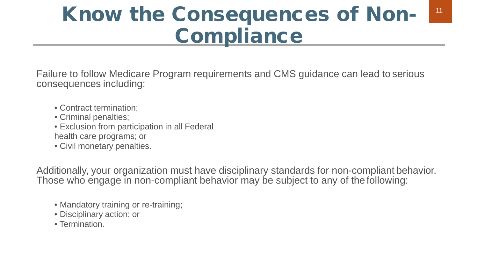## Know the Consequences of Non-Compliance

Failure to follow Medicare Program requirements and CMS guidance can lead to serious consequences including:

- Contract termination;
- Criminal penalties;
- Exclusion from participation in all Federal health care programs; or
- Civil monetary penalties.

Additionally, your organization must have disciplinary standards for non-compliant behavior. Those who engage in non-compliant behavior may be subject to any of the following:

- Mandatory training or re-training;
- Disciplinary action; or
- Termination.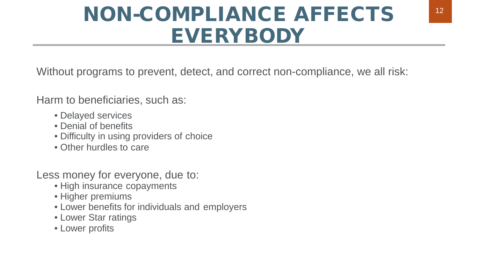## NON-COMPLIANCE AFFECTS EVERYBODY

Without programs to prevent, detect, and correct non-compliance, we all risk:

Harm to beneficiaries, such as:

- Delayed services
- Denial of benefits
- Difficulty in using providers of choice
- Other hurdles to care

Less money for everyone, due to:

- High insurance copayments
- Higher premiums
- Lower benefits for individuals and employers
- Lower Star ratings
- Lower profits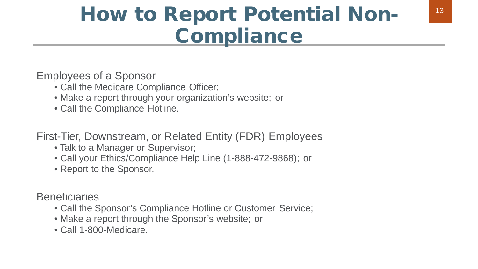## How to Report Potential Non-**Compliance**

Employees of a Sponsor

- Call the Medicare Compliance Officer;
- Make a report through your organization's website; or
- Call the Compliance Hotline.

First-Tier, Downstream, or Related Entity (FDR) Employees

- Talk to a Manager or Supervisor;
- Call your Ethics/Compliance Help Line (1-888-472-9868); or
- Report to the Sponsor.

**Beneficiaries** 

- Call the Sponsor's Compliance Hotline or Customer Service;
- Make a report through the Sponsor's website; or
- Call 1-800-Medicare.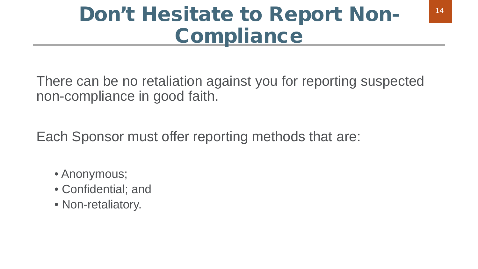## Don't Hesitate to Report Non-**Compliance**

There can be no retaliation against you for reporting suspected non-compliance in good faith.

Each Sponsor must offer reporting methods that are:

- Anonymous;
- Confidential; and
- Non-retaliatory.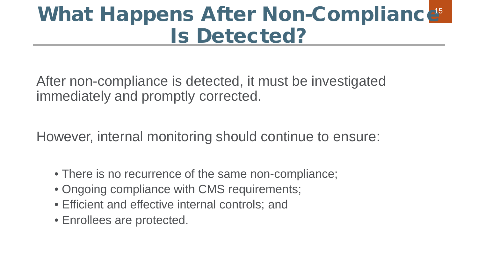## Is Detected? What Happens After Non-Compliance<sup>5</sup>

After non-compliance is detected, it must be investigated immediately and promptly corrected.

However, internal monitoring should continue to ensure:

- There is no recurrence of the same non-compliance;
- Ongoing compliance with CMS requirements;
- Efficient and effective internal controls; and
- Enrollees are protected.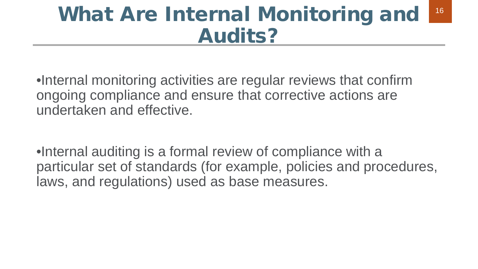### What Are Internal Monitoring and Audits? 16

•Internal monitoring activities are regular reviews that confirm ongoing compliance and ensure that corrective actions are undertaken and effective.

•Internal auditing is a formal review of compliance with a particular set of standards (for example, policies and procedures, laws, and regulations) used as base measures.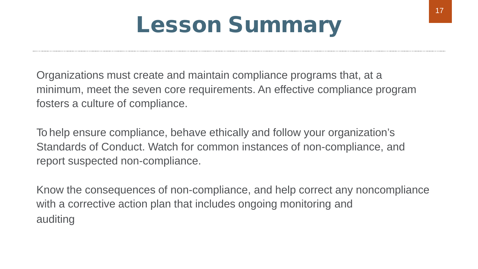## Lesson Summary

Organizations must create and maintain compliance programs that, at a minimum, meet the seven core requirements. An effective compliance program fosters a culture of compliance.

To help ensure compliance, behave ethically and follow your organization's Standards of Conduct. Watch for common instances of non-compliance, and report suspected non-compliance.

Know the consequences of non-compliance, and help correct any noncompliance with a corrective action plan that includes ongoing monitoring and auditing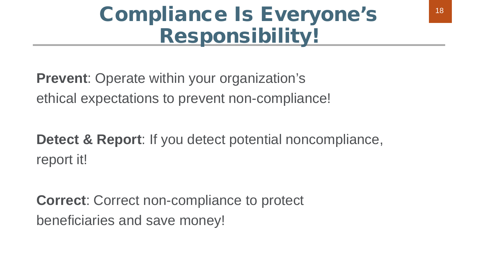## Compliance Is Everyone's Responsibility!

**Prevent**: Operate within your organization's ethical expectations to prevent non-compliance!

**Detect & Report**: If you detect potential noncompliance, report it!

**Correct**: Correct non-compliance to protect beneficiaries and save money!